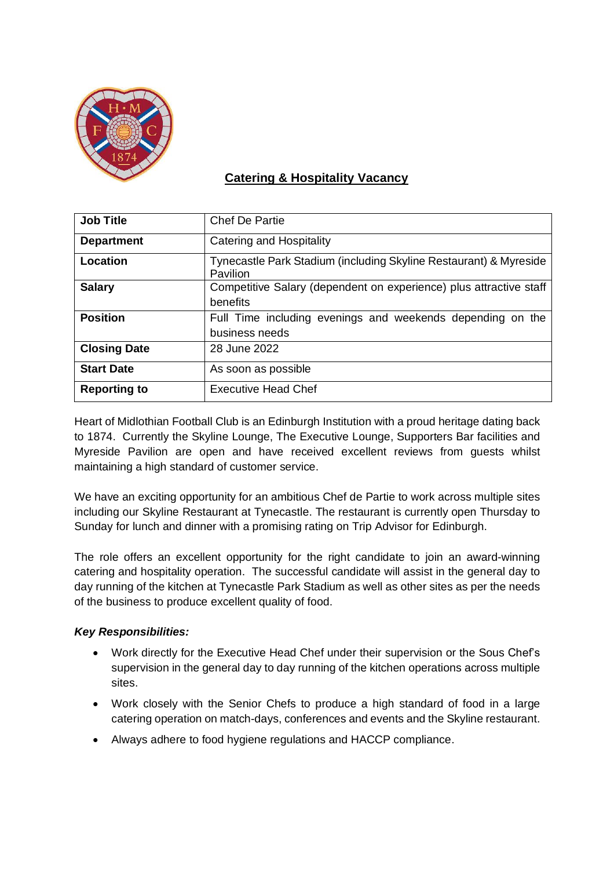

## **Catering & Hospitality Vacancy**

| <b>Job Title</b>    | <b>Chef De Partie</b>                                                          |
|---------------------|--------------------------------------------------------------------------------|
| <b>Department</b>   | Catering and Hospitality                                                       |
| <b>Location</b>     | Tynecastle Park Stadium (including Skyline Restaurant) & Myreside<br>Pavilion  |
| <b>Salary</b>       | Competitive Salary (dependent on experience) plus attractive staff<br>benefits |
| <b>Position</b>     | Full Time including evenings and weekends depending on the<br>business needs   |
| <b>Closing Date</b> | 28 June 2022                                                                   |
| <b>Start Date</b>   | As soon as possible                                                            |
| <b>Reporting to</b> | <b>Executive Head Chef</b>                                                     |

Heart of Midlothian Football Club is an Edinburgh Institution with a proud heritage dating back to 1874. Currently the Skyline Lounge, The Executive Lounge, Supporters Bar facilities and Myreside Pavilion are open and have received excellent reviews from guests whilst maintaining a high standard of customer service.

We have an exciting opportunity for an ambitious Chef de Partie to work across multiple sites including our Skyline Restaurant at Tynecastle. The restaurant is currently open Thursday to Sunday for lunch and dinner with a promising rating on Trip Advisor for Edinburgh.

The role offers an excellent opportunity for the right candidate to join an award-winning catering and hospitality operation. The successful candidate will assist in the general day to day running of the kitchen at Tynecastle Park Stadium as well as other sites as per the needs of the business to produce excellent quality of food.

## *Key Responsibilities:*

- Work directly for the Executive Head Chef under their supervision or the Sous Chef's supervision in the general day to day running of the kitchen operations across multiple sites.
- Work closely with the Senior Chefs to produce a high standard of food in a large catering operation on match-days, conferences and events and the Skyline restaurant.
- Always adhere to food hygiene regulations and HACCP compliance.